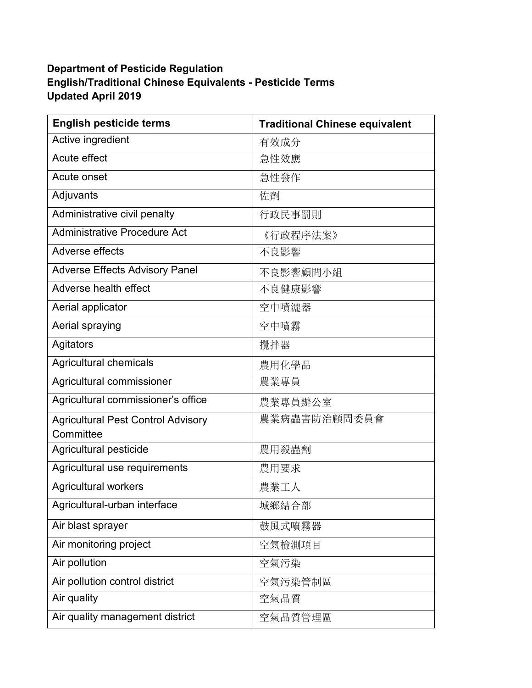## **Department of Pesticide Regulation English/Traditional Chinese Equivalents - Pesticide Terms Updated April 2019**

| <b>English pesticide terms</b>                         | <b>Traditional Chinese equivalent</b> |
|--------------------------------------------------------|---------------------------------------|
| Active ingredient                                      | 有效成分                                  |
| Acute effect                                           | 急性效應                                  |
| Acute onset                                            | 急性發作                                  |
| Adjuvants                                              | 佐劑                                    |
| Administrative civil penalty                           | 行政民事罰則                                |
| <b>Administrative Procedure Act</b>                    | 《行政程序法案》                              |
| Adverse effects                                        | 不良影響                                  |
| <b>Adverse Effects Advisory Panel</b>                  | 不良影響顧問小組                              |
| Adverse health effect                                  | 不良健康影響                                |
| Aerial applicator                                      | 空中噴灑器                                 |
| Aerial spraying                                        | 空中噴霧                                  |
| Agitators                                              | 攪拌器                                   |
| <b>Agricultural chemicals</b>                          | 農用化學品                                 |
| Agricultural commissioner                              | 農業專員                                  |
| Agricultural commissioner's office                     | 農業專員辦公室                               |
| <b>Agricultural Pest Control Advisory</b><br>Committee | 農業病蟲害防治顧問委員會                          |
| Agricultural pesticide                                 | 農用殺蟲劑                                 |
| Agricultural use requirements                          | 農用要求                                  |
| Agricultural workers                                   | 農業工人                                  |
| Agricultural-urban interface                           | 城鄉結合部                                 |
| Air blast sprayer                                      | 鼓風式噴霧器                                |
| Air monitoring project                                 | 空氣檢測項目                                |
| Air pollution                                          | 空氣污染                                  |
| Air pollution control district                         | 空氣污染管制區                               |
| Air quality                                            | 空氣品質                                  |
| Air quality management district                        | 空氣品質管理區                               |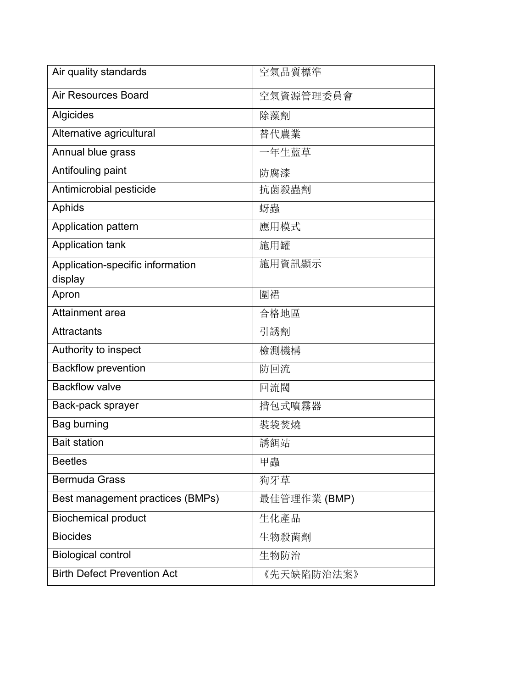| Air quality standards              | 空氣品質標準       |
|------------------------------------|--------------|
| <b>Air Resources Board</b>         | 空氣資源管理委員會    |
| Algicides                          | 除藻劑          |
| Alternative agricultural           | 替代農業         |
| Annual blue grass                  | 年生蓝草         |
| Antifouling paint                  | 防腐漆          |
| Antimicrobial pesticide            | 抗菌殺蟲劑        |
| Aphids                             | 蚜蟲           |
| Application pattern                | 應用模式         |
| <b>Application tank</b>            | 施用罐          |
| Application-specific information   | 施用資訊顯示       |
| display                            |              |
| Apron                              | 圍裙           |
| Attainment area                    | 合格地區         |
| <b>Attractants</b>                 | 引誘劑          |
| Authority to inspect               | 檢測機構         |
| <b>Backflow prevention</b>         | 防回流          |
| <b>Backflow valve</b>              | 回流閥          |
| Back-pack sprayer                  | 揹包式噴霧器       |
| <b>Bag burning</b>                 | 裝袋焚燒         |
| <b>Bait station</b>                | 誘餌站          |
| <b>Beetles</b>                     | 甲蟲           |
| <b>Bermuda Grass</b>               | 狗牙草          |
| Best management practices (BMPs)   | 最佳管理作業 (BMP) |
| <b>Biochemical product</b>         | 生化產品         |
| <b>Biocides</b>                    | 生物殺菌劑        |
| <b>Biological control</b>          | 生物防治         |
| <b>Birth Defect Prevention Act</b> | 《先天缺陷防治法案》   |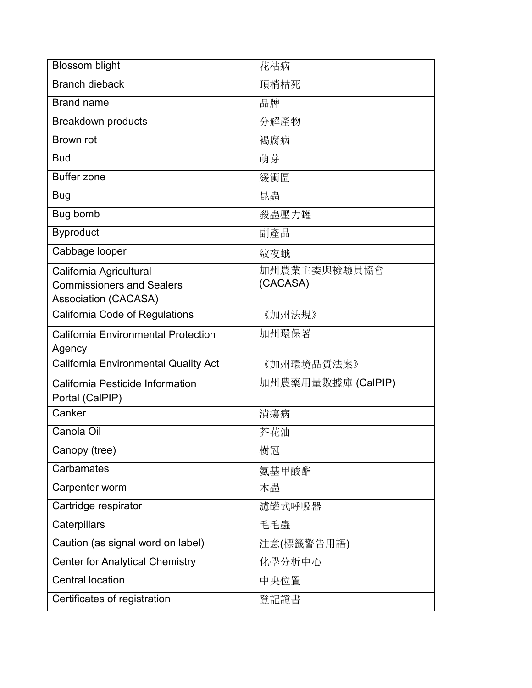| <b>Blossom blight</b>                               | 花枯病                |
|-----------------------------------------------------|--------------------|
| <b>Branch dieback</b>                               | 頂梢枯死               |
| <b>Brand name</b>                                   | 品牌                 |
| <b>Breakdown products</b>                           | 分解產物               |
| <b>Brown rot</b>                                    | 褐腐病                |
| <b>Bud</b>                                          | 萌芽                 |
| <b>Buffer zone</b>                                  | 緩衝區                |
| Bug                                                 | 昆蟲                 |
| Bug bomb                                            | 殺蟲壓力罐              |
| <b>Byproduct</b>                                    | 副產品                |
| Cabbage looper                                      | 紋夜蛾                |
| California Agricultural                             | 加州農業主委與檢驗員協會       |
| <b>Commissioners and Sealers</b>                    | (CACASA)           |
| <b>Association (CACASA)</b>                         |                    |
| California Code of Regulations                      | 《加州法規》             |
| <b>California Environmental Protection</b>          | 加州環保署              |
| Agency                                              |                    |
| <b>California Environmental Quality Act</b>         | 《加州環境品質法案》         |
| California Pesticide Information<br>Portal (CalPIP) | 加州農藥用量數據庫 (CalPIP) |
| Canker                                              | 潰瘍病                |
| Canola Oil                                          | 芥花油                |
| Canopy (tree)                                       | 樹冠                 |
| Carbamates                                          | 氨基甲酸酯              |
| Carpenter worm                                      | 木蟲                 |
| Cartridge respirator                                | 濾罐式呼吸器             |
| Caterpillars                                        | 毛毛蟲                |
| Caution (as signal word on label)                   | 注意(標籤警告用語)         |
| <b>Center for Analytical Chemistry</b>              | 化學分析中心             |
| <b>Central location</b>                             | 中央位置               |
| Certificates of registration                        | 登記證書               |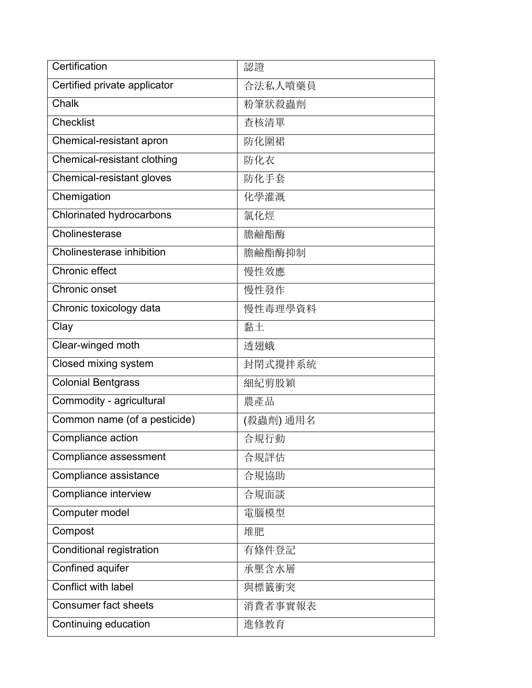| Certification                   | 認證        |
|---------------------------------|-----------|
| Certified private applicator    | 合法私人噴藥員   |
| Chalk                           | 粉筆狀殺蟲劑    |
| <b>Checklist</b>                | 查核清單      |
| Chemical-resistant apron        | 防化圍裙      |
| Chemical-resistant clothing     | 防化衣       |
| Chemical-resistant gloves       | 防化手套      |
| Chemigation                     | 化學灌溉      |
| Chlorinated hydrocarbons        | 氯化烴       |
| Cholinesterase                  | 膽鹼酯酶      |
| Cholinesterase inhibition       | 膽鹼酯酶抑制    |
| Chronic effect                  | 慢性效應      |
| Chronic onset                   | 慢性發作      |
| Chronic toxicology data         | 慢性毒理學資料   |
| Clay                            | 黏土        |
| Clear-winged moth               | 透翅蛾       |
| Closed mixing system            | 封閉式攪拌系統   |
| <b>Colonial Bentgrass</b>       | 細紀剪股穎     |
| Commodity - agricultural        | 農產品       |
| Common name (of a pesticide)    | (殺蟲劑) 通用名 |
| Compliance action               | 合規行動      |
| Compliance assessment           | 合規評估      |
| Compliance assistance           | 合規協助      |
| Compliance interview            | 合規面談      |
| Computer model                  | 電腦模型      |
| Compost                         | 堆肥        |
| <b>Conditional registration</b> | 有條件登記     |
| Confined aquifer                | 承壓含水層     |
| Conflict with label             | 與標籤衝突     |
| <b>Consumer fact sheets</b>     | 消費者事實報表   |
| Continuing education            | 進修教育      |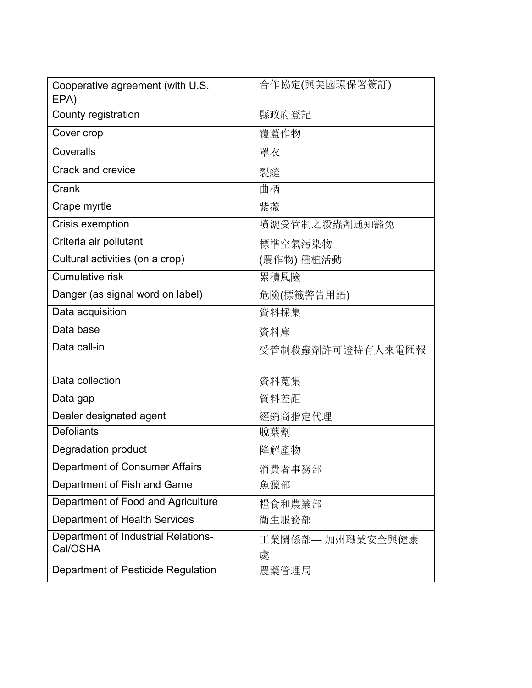| Cooperative agreement (with U.S.<br>EPA) | 合作協定(與美國環保署簽訂)   |
|------------------------------------------|------------------|
| County registration                      | 縣政府登記            |
| Cover crop                               | 覆蓋作物             |
| Coveralls                                | 罩衣               |
| Crack and crevice                        | 裂縫               |
| Crank                                    | 曲柄               |
| Crape myrtle                             | 紫薇               |
| Crisis exemption                         | 噴灑受管制之殺蟲劑通知豁免    |
| Criteria air pollutant                   | 標準空氣污染物          |
| Cultural activities (on a crop)          | (農作物) 種植活動       |
| <b>Cumulative risk</b>                   | 累積風險             |
| Danger (as signal word on label)         | 危險(標籤警告用語)       |
| Data acquisition                         | 資料採集             |
| Data base                                | 資料庫              |
| Data call-in                             | 受管制殺蟲劑許可證持有人來電匯報 |
|                                          |                  |
| Data collection                          | 資料蒐集             |
| Data gap                                 | 資料差距             |
| Dealer designated agent                  | 經銷商指定代理          |
| <b>Defoliants</b>                        | 脫葉劑              |
| Degradation product                      | 降解產物             |
| <b>Department of Consumer Affairs</b>    | 消費者事務部           |
| Department of Fish and Game              | 魚獵部              |
| Department of Food and Agriculture       | 糧食和農業部           |
| <b>Department of Health Services</b>     | 衛生服務部            |
| Department of Industrial Relations-      | 工業關係部— 加州職業安全與健康 |
| Cal/OSHA                                 | 處                |
| Department of Pesticide Regulation       | 農藥管理局            |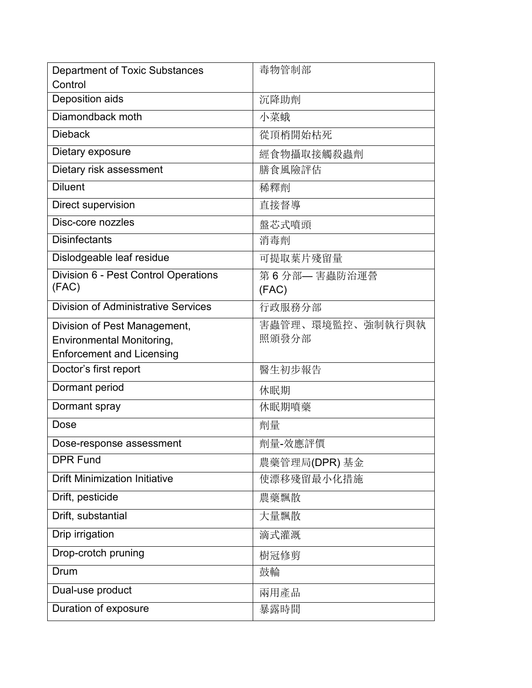| Department of Toxic Substances<br>Control     | 毒物管制部                |
|-----------------------------------------------|----------------------|
| Deposition aids                               | 沉降助劑                 |
| Diamondback moth                              | 小菜蛾                  |
| <b>Dieback</b>                                | 從頂梢開始枯死              |
| Dietary exposure                              | 經食物攝取接觸殺蟲劑           |
| Dietary risk assessment                       | 膳食風險評估               |
| <b>Diluent</b>                                | 稀釋劑                  |
| Direct supervision                            | 直接督導                 |
| Disc-core nozzles                             | 盤芯式噴頭                |
| <b>Disinfectants</b>                          | 消毒劑                  |
| Dislodgeable leaf residue                     | 可提取葉片殘留量             |
| Division 6 - Pest Control Operations<br>(FAC) | 第6分部—害蟲防治運營<br>(FAC) |
| <b>Division of Administrative Services</b>    | 行政服務分部               |
| Division of Pest Management,                  | 害蟲管理、環境監控、強制執行與執     |
| Environmental Monitoring,                     | 照頒發分部                |
| <b>Enforcement and Licensing</b>              |                      |
| Doctor's first report                         | 醫生初步報告               |
| Dormant period                                | 休眠期                  |
| Dormant spray                                 | 休眠期噴藥                |
| Dose                                          | 劑量                   |
| Dose-response assessment                      | 劑量-效應評價              |
| <b>DPR Fund</b>                               | 農藥管理局(DPR) 基金        |
| <b>Drift Minimization Initiative</b>          | 使漂移殘留最小化措施           |
| Drift, pesticide                              | 農藥飄散                 |
| Drift, substantial                            | 大量飄散                 |
| Drip irrigation                               | 滴式灌溉                 |
| Drop-crotch pruning                           | 樹冠修剪                 |
| Drum                                          | 鼓輪                   |
| Dual-use product                              | 兩用產品                 |
| Duration of exposure                          | 暴露時間                 |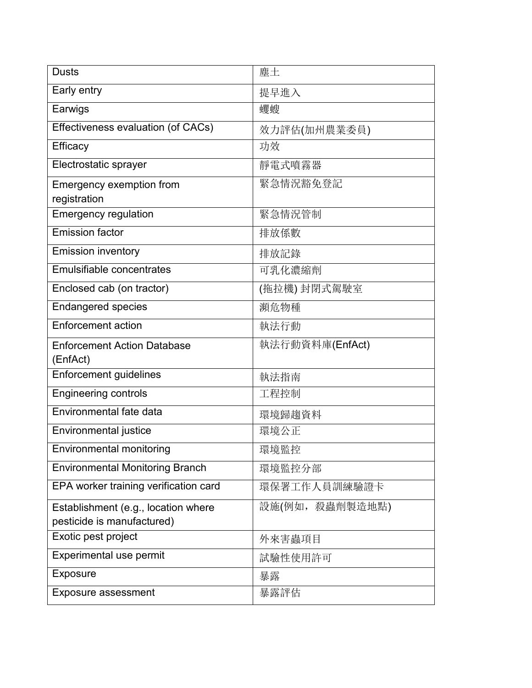| <b>Dusts</b>                                                      | 塵土              |
|-------------------------------------------------------------------|-----------------|
| Early entry                                                       | 提早進入            |
| Earwigs                                                           | 蠼螋              |
| Effectiveness evaluation (of CACs)                                | 效力評估(加州農業委員)    |
| Efficacy                                                          | 功效              |
| Electrostatic sprayer                                             | 靜電式噴霧器          |
| Emergency exemption from<br>registration                          | 緊急情況豁免登記        |
| <b>Emergency regulation</b>                                       | 緊急情況管制          |
| <b>Emission factor</b>                                            | 排放係數            |
| <b>Emission inventory</b>                                         | 排放記錄            |
| <b>Emulsifiable concentrates</b>                                  | 可乳化濃縮劑          |
| Enclosed cab (on tractor)                                         | (拖拉機)封閉式駕駛室     |
| <b>Endangered species</b>                                         | 瀕危物種            |
| <b>Enforcement action</b>                                         | 執法行動            |
| <b>Enforcement Action Database</b><br>(EnfAct)                    | 執法行動資料庫(EnfAct) |
| <b>Enforcement guidelines</b>                                     | 執法指南            |
| <b>Engineering controls</b>                                       | 工程控制            |
| Environmental fate data                                           | 環境歸趨資料          |
| Environmental justice                                             | 環境公正            |
| Environmental monitoring                                          | 環境監控            |
| <b>Environmental Monitoring Branch</b>                            | 環境監控分部          |
| EPA worker training verification card                             | 環保署工作人員訓練驗證卡    |
| Establishment (e.g., location where<br>pesticide is manufactured) | 設施(例如,殺蟲劑製造地點)  |
| Exotic pest project                                               | 外來害蟲項目          |
| Experimental use permit                                           | 試驗性使用許可         |
| Exposure                                                          | 暴露              |
| <b>Exposure assessment</b>                                        | 暴露評估            |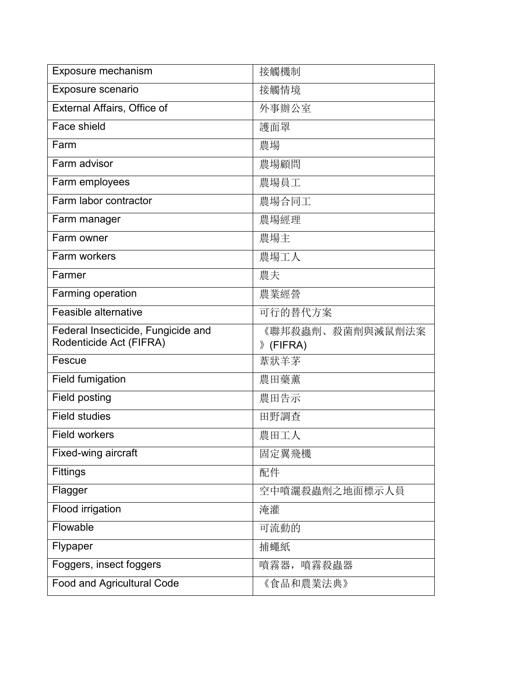| Exposure mechanism                                            | 接觸機制                         |
|---------------------------------------------------------------|------------------------------|
| Exposure scenario                                             | 接觸情境                         |
| External Affairs, Office of                                   | 外事辦公室                        |
| Face shield                                                   | 護面罩                          |
| Farm                                                          | 農場                           |
| Farm advisor                                                  | 農場顧問                         |
| Farm employees                                                | 農場員工                         |
| Farm labor contractor                                         | 農場合同工                        |
| Farm manager                                                  | 農場經理                         |
| Farm owner                                                    | 農場主                          |
| Farm workers                                                  | 農場工人                         |
| Farmer                                                        | 農夫                           |
| Farming operation                                             | 農業經營                         |
| Feasible alternative                                          | 可行的替代方案                      |
|                                                               |                              |
| Federal Insecticide, Fungicide and<br>Rodenticide Act (FIFRA) | 《聯邦殺蟲劑、殺菌劑與滅鼠劑法案<br>》(FIFRA) |
| Fescue                                                        | 葦狀羊茅                         |
| Field fumigation                                              | 農田藥薰                         |
| Field posting                                                 | 農田告示                         |
| <b>Field studies</b>                                          | 田野調査                         |
| <b>Field workers</b>                                          | 農田工人                         |
| Fixed-wing aircraft                                           | 固定翼飛機                        |
| Fittings                                                      | 配件                           |
| Flagger                                                       | 空中噴灑殺蟲劑之地面標示人員               |
| Flood irrigation                                              | 淹灌                           |
| Flowable                                                      | 可流動的                         |
| Flypaper                                                      | 捕蠅紙                          |
| Foggers, insect foggers                                       | 噴霧器,<br>噴霧殺蟲器                |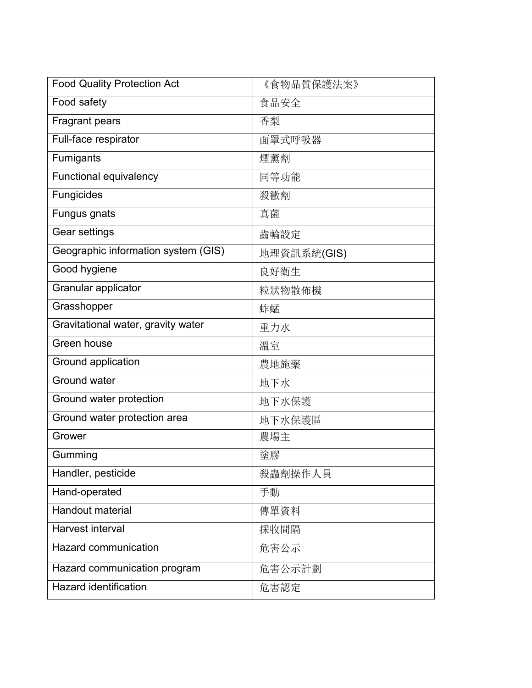| <b>Food Quality Protection Act</b>  | 《食物品質保護法案》  |
|-------------------------------------|-------------|
| Food safety                         | 食品安全        |
| <b>Fragrant pears</b>               | 香梨          |
| Full-face respirator                | 面罩式呼吸器      |
| Fumigants                           | 煙薰劑         |
| <b>Functional equivalency</b>       | 同等功能        |
| Fungicides                          | 殺黴劑         |
| Fungus gnats                        | 真菌          |
| Gear settings                       | 齒輪設定        |
| Geographic information system (GIS) | 地理資訊系統(GIS) |
| Good hygiene                        | 良好衛生        |
| Granular applicator                 | 粒狀物散佈機      |
| Grasshopper                         | 蚱蜢          |
| Gravitational water, gravity water  | 重力水         |
| Green house                         | 溫室          |
| Ground application                  | 農地施藥        |
| <b>Ground water</b>                 | 地下水         |
| Ground water protection             | 地下水保護       |
| Ground water protection area        | 地下水保護區      |
| Grower                              | 農場主         |
| Gumming                             | 塗膠          |
| Handler, pesticide                  | 殺蟲劑操作人員     |
| Hand-operated                       | 手動          |
| <b>Handout material</b>             | 傳單資料        |
| <b>Harvest interval</b>             | 採收間隔        |
| Hazard communication                | 危害公示        |
| Hazard communication program        | 危害公示計劃      |
| <b>Hazard identification</b>        | 危害認定        |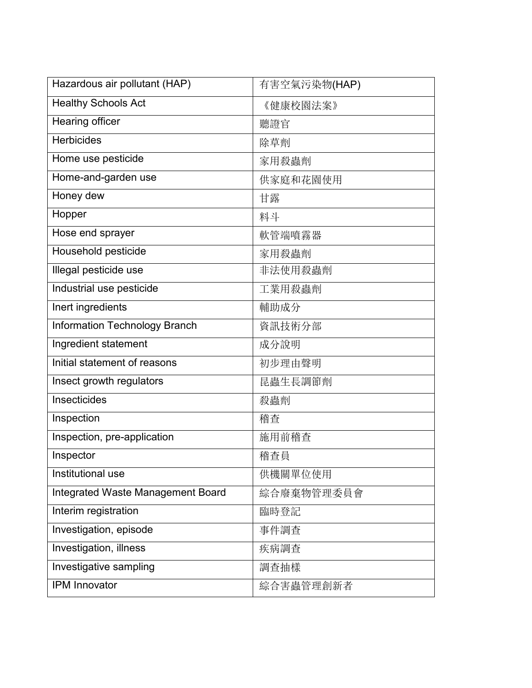| Hazardous air pollutant (HAP)        | 有害空氣污染物(HAP) |
|--------------------------------------|--------------|
| <b>Healthy Schools Act</b>           | 《健康校園法案》     |
| <b>Hearing officer</b>               | 聽證官          |
| <b>Herbicides</b>                    | 除草劑          |
| Home use pesticide                   | 家用殺蟲劑        |
| Home-and-garden use                  | 供家庭和花園使用     |
| Honey dew                            | 甘露           |
| Hopper                               | 料斗           |
| Hose end sprayer                     | 軟管端噴霧器       |
| Household pesticide                  | 家用殺蟲劑        |
| Illegal pesticide use                | 非法使用殺蟲劑      |
| Industrial use pesticide             | 工業用殺蟲劑       |
| Inert ingredients                    | 輔助成分         |
| <b>Information Technology Branch</b> | 資訊技術分部       |
| Ingredient statement                 | 成分說明         |
| Initial statement of reasons         | 初步理由聲明       |
| Insect growth regulators             | 昆蟲生長調節劑      |
| Insecticides                         | 殺蟲劑          |
| Inspection                           | 稽查           |
| Inspection, pre-application          | 施用前稽查        |
| Inspector                            | 稽查員          |
| Institutional use                    | 供機關單位使用      |
| Integrated Waste Management Board    | 綜合廢棄物管理委員會   |
| Interim registration                 | 臨時登記         |
| Investigation, episode               | 事件調查         |
| Investigation, illness               | 疾病調查         |
| Investigative sampling               | 調查抽樣         |
| IPM Innovator                        | 綜合害蟲管理創新者    |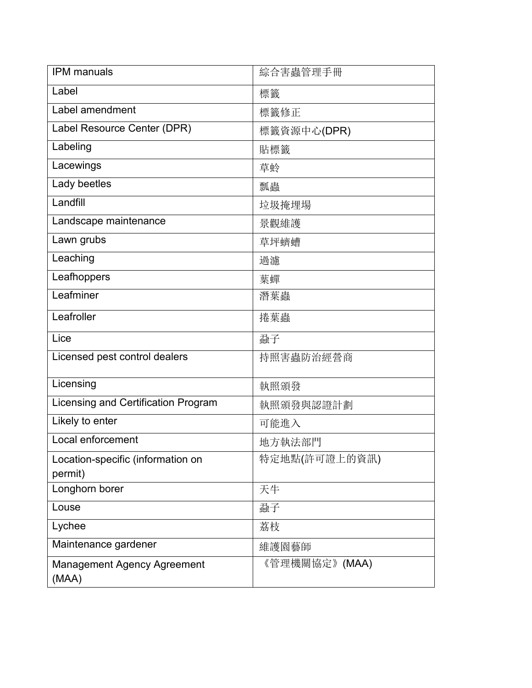| <b>IPM</b> manuals                          | 綜合害蟲管理手冊      |
|---------------------------------------------|---------------|
| Label                                       | 標籤            |
| Label amendment                             | 標籤修正          |
| Label Resource Center (DPR)                 | 標籤資源中心(DPR)   |
| Labeling                                    | 貼標籤           |
| Lacewings                                   | 草蛉            |
| Lady beetles                                | 瓢蟲            |
| Landfill                                    | 垃圾掩埋場         |
| Landscape maintenance                       | 景觀維護          |
| Lawn grubs                                  | 草坪蠐螬          |
| Leaching                                    | 過濾            |
| Leafhoppers                                 | 葉蟬            |
| Leafminer                                   | 潛葉蟲           |
| Leafroller                                  | 捲葉蟲           |
| Lice                                        | 蝨子            |
| Licensed pest control dealers               | 持照害蟲防治經營商     |
| Licensing                                   | 執照頒發          |
| Licensing and Certification Program         | 執照頒發與認證計劃     |
| Likely to enter                             | 可能進入          |
| Local enforcement                           | 地方執法部門        |
| Location-specific (information on           | 特定地點(許可證上的資訊) |
| permit)                                     |               |
| Longhorn borer                              | 天牛            |
| Louse                                       | 蝨子            |
| Lychee                                      | 荔枝            |
| Maintenance gardener                        | 維護園藝師         |
| <b>Management Agency Agreement</b><br>(MAA) | 《管理機關協定》(MAA) |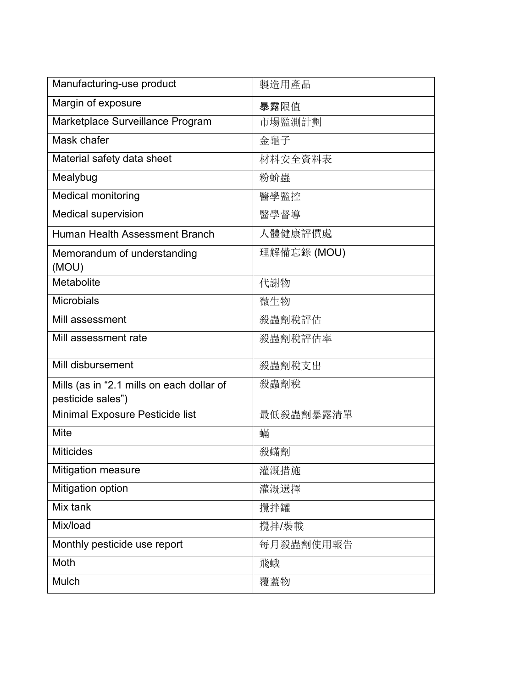| Manufacturing-use product                                      | 製造用產品       |
|----------------------------------------------------------------|-------------|
| Margin of exposure                                             | 暴露限值        |
| Marketplace Surveillance Program                               | 市場監測計劃      |
| Mask chafer                                                    | 金龜子         |
| Material safety data sheet                                     | 材料安全資料表     |
| Mealybug                                                       | 粉蚧蟲         |
| <b>Medical monitoring</b>                                      | 醫學監控        |
| Medical supervision                                            | 醫學督導        |
| Human Health Assessment Branch                                 | 人體健康評價處     |
| Memorandum of understanding<br>(MOU)                           | 理解備忘錄 (MOU) |
| Metabolite                                                     | 代謝物         |
| Microbials                                                     | 微生物         |
| Mill assessment                                                | 殺蟲劑稅評估      |
| Mill assessment rate                                           | 殺蟲劑稅評估率     |
| Mill disbursement                                              | 殺蟲劑稅支出      |
| Mills (as in "2.1 mills on each dollar of<br>pesticide sales") | 殺蟲劑稅        |
| Minimal Exposure Pesticide list                                | 最低殺蟲劑暴露清單   |
| <b>Mite</b>                                                    | 蟎           |
| <b>Miticides</b>                                               | 殺蟎劑         |
| Mitigation measure                                             | 灌溉措施        |
| Mitigation option                                              | 灌溉選擇        |
| Mix tank                                                       | 攪拌罐         |
| Mix/load                                                       | 攪拌/裝載       |
| Monthly pesticide use report                                   | 每月殺蟲劑使用報告   |
| Moth                                                           | 飛蛾          |
| Mulch                                                          | 覆蓋物         |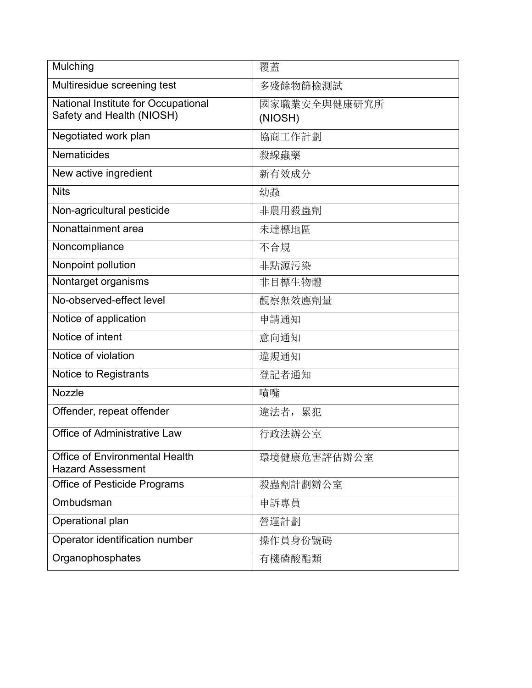| Mulching                                                          | 覆蓋                      |
|-------------------------------------------------------------------|-------------------------|
| Multiresidue screening test                                       | 多殘餘物篩檢測試                |
| National Institute for Occupational<br>Safety and Health (NIOSH)  | 國家職業安全與健康研究所<br>(NIOSH) |
| Negotiated work plan                                              | 協商工作計劃                  |
| <b>Nematicides</b>                                                | 殺線蟲藥                    |
| New active ingredient                                             | 新有效成分                   |
| <b>Nits</b>                                                       | 幼蝨                      |
| Non-agricultural pesticide                                        | 非農用殺蟲劑                  |
| Nonattainment area                                                | 未達標地區                   |
| Noncompliance                                                     | 不合規                     |
| Nonpoint pollution                                                | 非點源污染                   |
| Nontarget organisms                                               | 非目標生物體                  |
| No-observed-effect level                                          | 觀察無效應劑量                 |
| Notice of application                                             | 申請通知                    |
| Notice of intent                                                  | 意向通知                    |
| Notice of violation                                               | 違規通知                    |
| Notice to Registrants                                             | 登記者通知                   |
| <b>Nozzle</b>                                                     | 噴嘴                      |
| Offender, repeat offender                                         | 違法者, 累犯                 |
| Office of Administrative Law                                      | 行政法辦公室                  |
| <b>Office of Environmental Health</b><br><b>Hazard Assessment</b> | 環境健康危害評估辦公室             |
| <b>Office of Pesticide Programs</b>                               | 殺蟲劑計劃辦公室                |
| Ombudsman                                                         | 申訴專員                    |
| Operational plan                                                  | 營運計劃                    |
| Operator identification number                                    | 操作員身份號碼                 |
| Organophosphates                                                  | 有機磷酸酯類                  |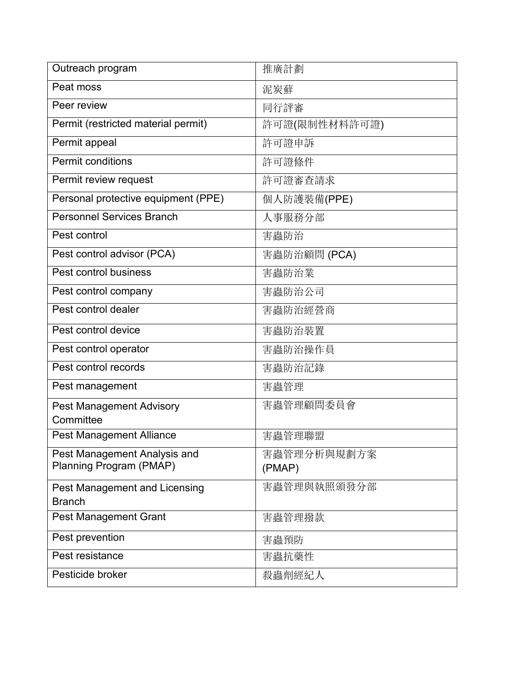| Outreach program                    | 推廣計劃          |
|-------------------------------------|---------------|
| Peat moss                           | 泥炭蘚           |
| Peer review                         | 同行評審          |
| Permit (restricted material permit) | 許可證(限制性材料許可證) |
| Permit appeal                       | 許可證申訴         |
| <b>Permit conditions</b>            | 許可證條件         |
| Permit review request               | 許可證審查請求       |
| Personal protective equipment (PPE) | 個人防護裝備(PPE)   |
| <b>Personnel Services Branch</b>    | 人事服務分部        |
| Pest control                        | 害蟲防治          |
| Pest control advisor (PCA)          | 害蟲防治顧問 (PCA)  |
| Pest control business               | 害蟲防治業         |
| Pest control company                | 害蟲防治公司        |
| Pest control dealer                 | 害蟲防治經營商       |
| Pest control device                 | 害蟲防治裝置        |
| Pest control operator               | 害蟲防治操作員       |
| Pest control records                | 害蟲防治記錄        |
| Pest management                     | 害蟲管理          |
| Pest Management Advisory            | 害蟲管理顧問委員會     |
| Committee                           |               |
| <b>Pest Management Alliance</b>     | 害蟲管理聯盟        |
| Pest Management Analysis and        | 害蟲管理分析與規劃方案   |
| Planning Program (PMAP)             | (PMAP)        |
| Pest Management and Licensing       | 害蟲管理與執照頒發分部   |
| <b>Branch</b>                       |               |
| <b>Pest Management Grant</b>        | 害蟲管理撥款        |
| Pest prevention                     | 害蟲預防          |
| Pest resistance                     | 害蟲抗藥性         |
| Pesticide broker                    | 殺蟲劑經紀人        |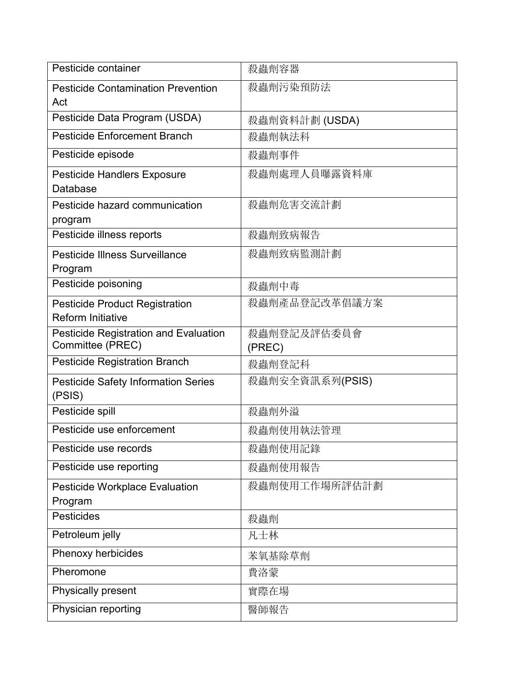| Pesticide container                                               | 殺蟲劑容器                 |
|-------------------------------------------------------------------|-----------------------|
| <b>Pesticide Contamination Prevention</b><br>Act                  | 殺蟲劑污染預防法              |
| Pesticide Data Program (USDA)                                     | 殺蟲劑資料計劃 (USDA)        |
| <b>Pesticide Enforcement Branch</b>                               | 殺蟲劑執法科                |
| Pesticide episode                                                 | 殺蟲劑事件                 |
| <b>Pesticide Handlers Exposure</b><br><b>Database</b>             | 殺蟲劑處理人員曝露資料庫          |
| Pesticide hazard communication<br>program                         | 殺蟲劑危害交流計劃             |
| Pesticide illness reports                                         | 殺蟲劑致病報告               |
| <b>Pesticide Illness Surveillance</b><br>Program                  | 殺蟲劑致病監測計劃             |
| Pesticide poisoning                                               | 殺蟲劑中毒                 |
| <b>Pesticide Product Registration</b><br><b>Reform Initiative</b> | 殺蟲劑產品登記改革倡議方案         |
| <b>Pesticide Registration and Evaluation</b><br>Committee (PREC)  | 殺蟲劑登記及評估委員會<br>(PREC) |
| <b>Pesticide Registration Branch</b>                              | 殺蟲劑登記科                |
| <b>Pesticide Safety Information Series</b><br>(PSIS)              | 殺蟲劑安全資訊系列(PSIS)       |
| Pesticide spill                                                   | 殺蟲劑外溢                 |
| Pesticide use enforcement                                         | 殺蟲劑使用執法管理             |
| Pesticide use records                                             | 殺蟲劑使用記錄               |
| Pesticide use reporting                                           | 殺蟲劑使用報告               |
| <b>Pesticide Workplace Evaluation</b><br>Program                  | 殺蟲劑使用工作場所評估計劃         |
| Pesticides                                                        | 殺蟲劑                   |
| Petroleum jelly                                                   | 凡士林                   |
| Phenoxy herbicides                                                | 苯氧基除草劑                |
| Pheromone                                                         | 費洛蒙                   |
| <b>Physically present</b>                                         | 實際在場                  |
| Physician reporting                                               | 醫師報告                  |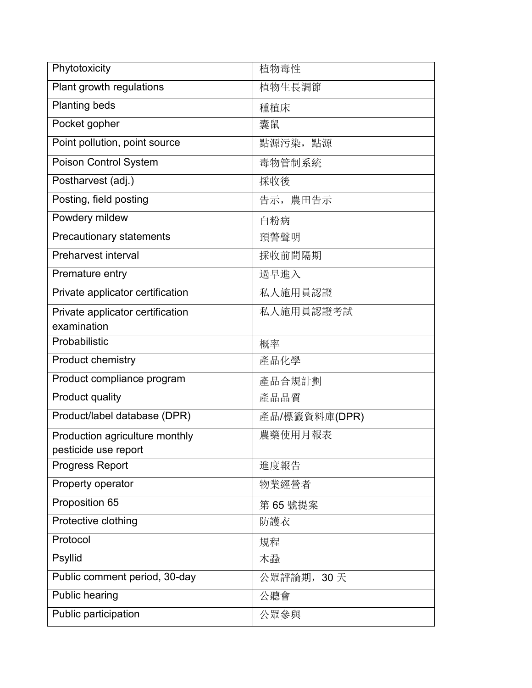| Phytotoxicity                    | 植物毒性          |
|----------------------------------|---------------|
| Plant growth regulations         | 植物生長調節        |
| <b>Planting beds</b>             | 種植床           |
| Pocket gopher                    | 囊鼠            |
| Point pollution, point source    | 點源污染,點源       |
| <b>Poison Control System</b>     | 毒物管制系統        |
| Postharvest (adj.)               | 採收後           |
| Posting, field posting           | 告示, 農田告示      |
| Powdery mildew                   | 白粉病           |
| Precautionary statements         | 預警聲明          |
| <b>Preharvest interval</b>       | 採收前間隔期        |
| Premature entry                  | 過早進入          |
| Private applicator certification | 私人施用員認證       |
| Private applicator certification | 私人施用員認證考試     |
| examination                      |               |
| Probabilistic                    | 概率            |
| Product chemistry                | 產品化學          |
| Product compliance program       | 產品合規計劃        |
| Product quality                  | 產品品質          |
| Product/label database (DPR)     | 產品/標籤資料庫(DPR) |
| Production agriculture monthly   | 農藥使用月報表       |
| pesticide use report             |               |
| Progress Report                  | 進度報告          |
| Property operator                | 物業經營者         |
| Proposition 65                   | 第 65 號提案      |
| Protective clothing              | 防護衣           |
| Protocol                         | 規程            |
| Psyllid                          | 木蝨            |
| Public comment period, 30-day    | 公眾評論期, 30天    |
| <b>Public hearing</b>            | 公聽會           |
| Public participation             | 公眾參與          |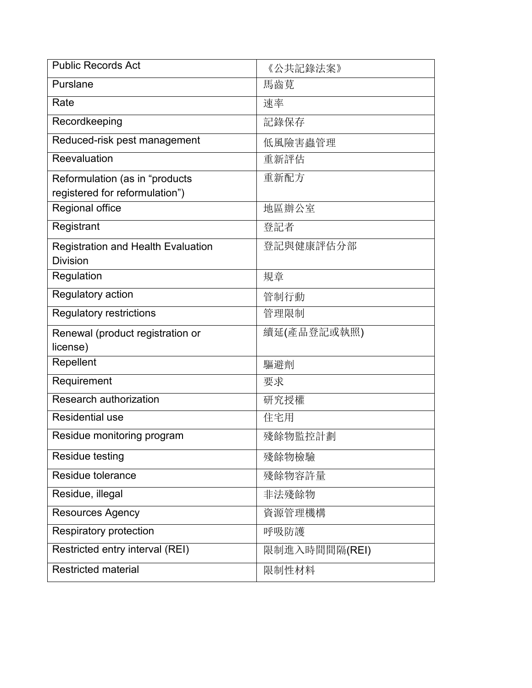| <b>Public Records Act</b>                                        | 《公共記錄法案》      |
|------------------------------------------------------------------|---------------|
| Purslane                                                         | 馬齒莧           |
| Rate                                                             | 速率            |
| Recordkeeping                                                    | 記錄保存          |
| Reduced-risk pest management                                     | 低風險害蟲管理       |
| Reevaluation                                                     | 重新評估          |
| Reformulation (as in "products<br>registered for reformulation") | 重新配方          |
| Regional office                                                  | 地區辦公室         |
| Registrant                                                       | 登記者           |
| <b>Registration and Health Evaluation</b><br><b>Division</b>     | 登記與健康評估分部     |
| Regulation                                                       | 規章            |
| Regulatory action                                                | 管制行動          |
| <b>Regulatory restrictions</b>                                   | 管理限制          |
| Renewal (product registration or<br>license)                     | 續延(產品登記或執照)   |
| Repellent                                                        | 驅避劑           |
| Requirement                                                      | 要求            |
| Research authorization                                           | 研究授權          |
| <b>Residential use</b>                                           | 住宅用           |
| Residue monitoring program                                       | 殘餘物監控計劃       |
| Residue testing                                                  | 殘餘物檢驗         |
| Residue tolerance                                                | 殘餘物容許量        |
| Residue, illegal                                                 | 非法殘餘物         |
| <b>Resources Agency</b>                                          | 資源管理機構        |
| <b>Respiratory protection</b>                                    | 呼吸防護          |
| Restricted entry interval (REI)                                  | 限制進入時間間隔(REI) |
| <b>Restricted material</b>                                       | 限制性材料         |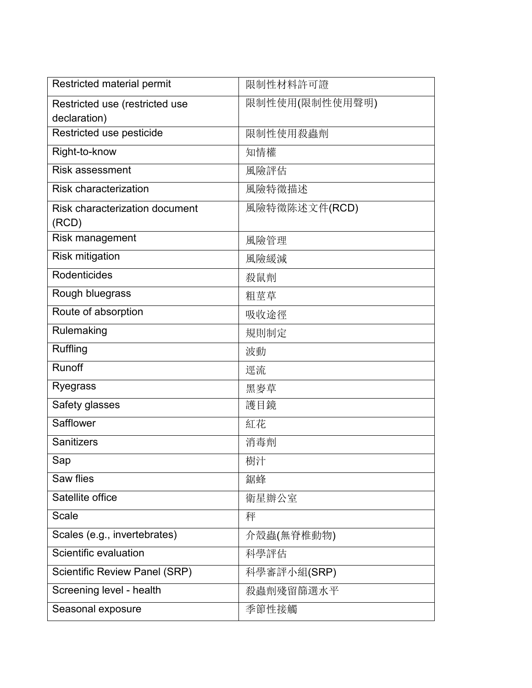| Restricted material permit                     | 限制性材料許可證       |
|------------------------------------------------|----------------|
| Restricted use (restricted use<br>declaration) | 限制性使用(限制性使用聲明) |
| Restricted use pesticide                       | 限制性使用殺蟲劑       |
| Right-to-know                                  | 知情權            |
| <b>Risk assessment</b>                         | 風險評估           |
| <b>Risk characterization</b>                   | 風險特徵描述         |
| <b>Risk characterization document</b>          | 風險特徵陈述文件(RCD)  |
| (RCD)                                          |                |
| Risk management                                | 風險管理           |
| <b>Risk mitigation</b>                         | 風險緩減           |
| <b>Rodenticides</b>                            | 殺鼠劑            |
| Rough bluegrass                                | 粗莖草            |
| Route of absorption                            | 吸收途徑           |
| Rulemaking                                     | 規則制定           |
| Ruffling                                       | 波動             |
| <b>Runoff</b>                                  | 逕流             |
| Ryegrass                                       | 黑麥草            |
| Safety glasses                                 | 護目鏡            |
| Safflower                                      | 紅花             |
| <b>Sanitizers</b>                              | 消毒劑            |
| Sap                                            | 樹汁             |
| Saw flies                                      | 鋸蜂             |
| Satellite office                               | 衛星辦公室          |
| <b>Scale</b>                                   | 秤              |
| Scales (e.g., invertebrates)                   | 介殼蟲(無脊椎動物)     |
| Scientific evaluation                          | 科學評估           |
| <b>Scientific Review Panel (SRP)</b>           | 科學審評小組(SRP)    |
| Screening level - health                       | 殺蟲劑殘留篩選水平      |
| Seasonal exposure                              | 季節性接觸          |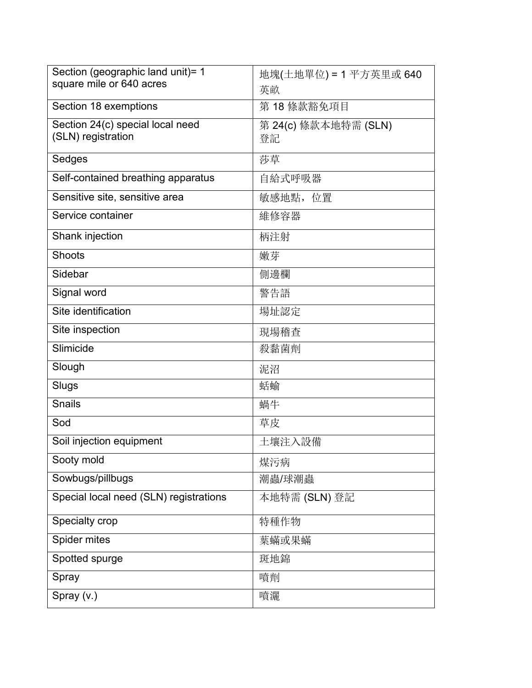| Section (geographic land unit)= 1      | 地塊(土地單位) = 1 平方英里或 640 |
|----------------------------------------|------------------------|
| square mile or 640 acres               | 英畝                     |
| Section 18 exemptions                  | 第18條款豁免項目              |
| Section 24(c) special local need       | 第 24(c) 條款本地特需 (SLN)   |
| (SLN) registration                     | 登記                     |
| Sedges                                 | 莎草                     |
| Self-contained breathing apparatus     | 自給式呼吸器                 |
| Sensitive site, sensitive area         | 敏感地點, 位置               |
| Service container                      | 維修容器                   |
| Shank injection                        | 柄注射                    |
| <b>Shoots</b>                          | 嫩芽                     |
| Sidebar                                | 側邊欄                    |
| Signal word                            | 警告語                    |
| Site identification                    | 場址認定                   |
| Site inspection                        | 現場稽查                   |
| Slimicide                              | 殺黏菌劑                   |
| Slough                                 | 泥沼                     |
| Slugs                                  | 蛞蝓                     |
| <b>Snails</b>                          | 蝸牛                     |
| Sod                                    | 草皮                     |
| Soil injection equipment               | 土壤注入設備                 |
| Sooty mold                             | 煤污病                    |
| Sowbugs/pillbugs                       | 潮蟲/球潮蟲                 |
| Special local need (SLN) registrations | 本地特需 (SLN) 登記          |
| Specialty crop                         | 特種作物                   |
| Spider mites                           | 葉蟎或果蟎                  |
| Spotted spurge                         | 斑地錦                    |
| Spray                                  | 噴劑                     |
| Spray (v.)                             | 噴灑                     |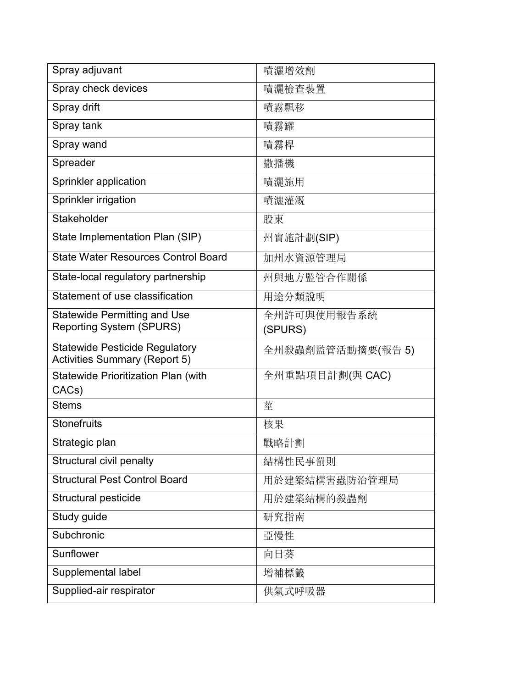| Spray adjuvant                                                                | 噴灑增效劑                  |
|-------------------------------------------------------------------------------|------------------------|
| Spray check devices                                                           | 噴灑檢查裝置                 |
| Spray drift                                                                   | 噴霧飄移                   |
| Spray tank                                                                    | 噴霧罐                    |
| Spray wand                                                                    | 噴霧桿                    |
| Spreader                                                                      | 撒播機                    |
| Sprinkler application                                                         | 噴灑施用                   |
| Sprinkler irrigation                                                          | 噴灑灌溉                   |
| Stakeholder                                                                   | 股東                     |
| State Implementation Plan (SIP)                                               | 州實施計劃(SIP)             |
| <b>State Water Resources Control Board</b>                                    | 加州水資源管理局               |
| State-local regulatory partnership                                            | 州與地方監管合作關係             |
| Statement of use classification                                               | 用途分類說明                 |
| <b>Statewide Permitting and Use</b><br><b>Reporting System (SPURS)</b>        | 全州許可與使用報告系統<br>(SPURS) |
| <b>Statewide Pesticide Regulatory</b><br><b>Activities Summary (Report 5)</b> | 全州殺蟲劑監管活動摘要(報告 5)      |
| <b>Statewide Prioritization Plan (with</b><br>CACs)                           | 全州重點項目計劃(與 CAC)        |
| <b>Stems</b>                                                                  | 莖                      |
| <b>Stonefruits</b>                                                            | 核果                     |
| Strategic plan                                                                | 戰略計劃                   |
| Structural civil penalty                                                      | 結構性民事罰則                |
| <b>Structural Pest Control Board</b>                                          | 用於建築結構害蟲防治管理局          |
| Structural pesticide                                                          | 用於建築結構的殺蟲劑             |
| Study guide                                                                   | 研究指南                   |
| Subchronic                                                                    | 亞慢性                    |
| Sunflower                                                                     | 向日葵                    |
| Supplemental label                                                            | 增補標籤                   |
| Supplied-air respirator                                                       | 供氣式呼吸器                 |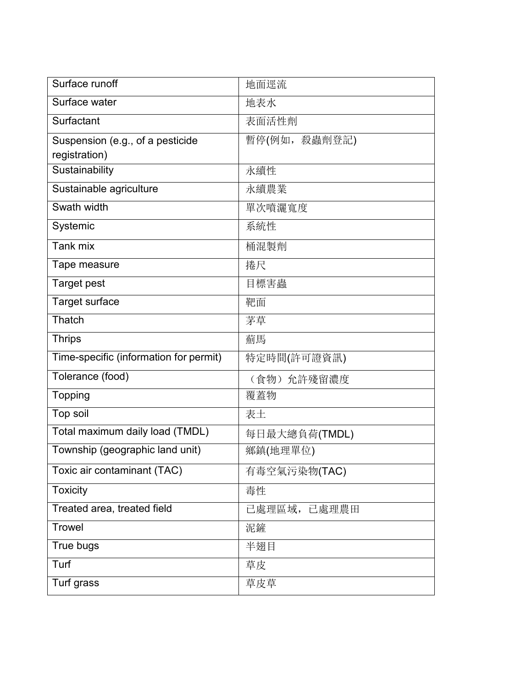| Surface runoff                         | 地面逕流          |
|----------------------------------------|---------------|
| Surface water                          | 地表水           |
| Surfactant                             | 表面活性劑         |
| Suspension (e.g., of a pesticide       | 暫停(例如, 殺蟲劑登記) |
| registration)                          |               |
| Sustainability                         | 永續性           |
| Sustainable agriculture                | 永續農業          |
| Swath width                            | 單次噴灑寬度        |
| Systemic                               | 系統性           |
| Tank mix                               | 桶混製劑          |
| Tape measure                           | 捲尺            |
| <b>Target pest</b>                     | 目標害蟲          |
| Target surface                         | 靶面            |
| Thatch                                 | 茅草            |
| <b>Thrips</b>                          | 薊馬            |
| Time-specific (information for permit) | 特定時間(許可證資訊)   |
| Tolerance (food)                       | (食物) 允許殘留濃度   |
| <b>Topping</b>                         | 覆蓋物           |
| Top soil                               | 表土            |
| Total maximum daily load (TMDL)        | 每日最大總負荷(TMDL) |
| Township (geographic land unit)        | 鄉鎮(地理單位)      |
| Toxic air contaminant (TAC)            | 有毒空氣污染物(TAC)  |
| <b>Toxicity</b>                        | 毒性            |
| Treated area, treated field            | 已處理區域, 已處理農田  |
| <b>Trowel</b>                          | 泥鏟            |
| True bugs                              | 半翅目           |
| Turf                                   | 草皮            |
| Turf grass                             | 草皮草           |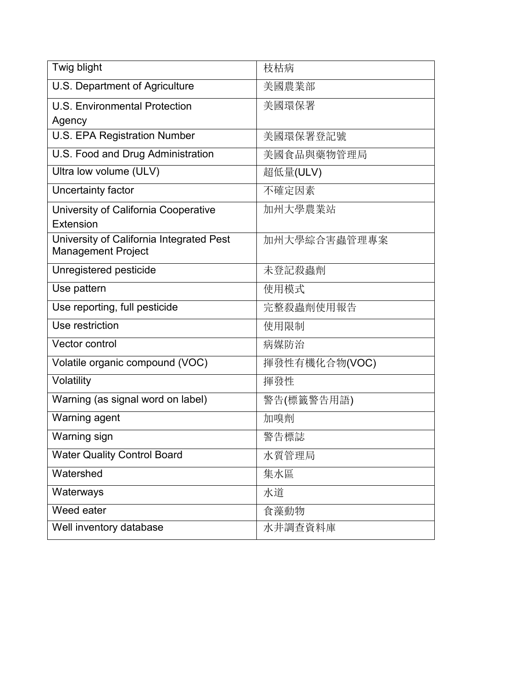| Twig blight                                                           | 枝枯病           |
|-----------------------------------------------------------------------|---------------|
| U.S. Department of Agriculture                                        | 美國農業部         |
| <b>U.S. Environmental Protection</b>                                  | 美國環保署         |
| Agency                                                                |               |
| <b>U.S. EPA Registration Number</b>                                   | 美國環保署登記號      |
| U.S. Food and Drug Administration                                     | 美國食品與藥物管理局    |
| Ultra low volume (ULV)                                                | 超低量(ULV)      |
| Uncertainty factor                                                    | 不確定因素         |
| University of California Cooperative                                  | 加州大學農業站       |
| Extension                                                             |               |
| University of California Integrated Pest<br><b>Management Project</b> | 加州大學綜合害蟲管理專案  |
| Unregistered pesticide                                                | 未登記殺蟲劑        |
| Use pattern                                                           | 使用模式          |
| Use reporting, full pesticide                                         | 完整殺蟲劑使用報告     |
| Use restriction                                                       | 使用限制          |
| Vector control                                                        | 病媒防治          |
| Volatile organic compound (VOC)                                       | 揮發性有機化合物(VOC) |
| Volatility                                                            | 揮發性           |
| Warning (as signal word on label)                                     | 警告(標籤警告用語)    |
| Warning agent                                                         | 加嗅劑           |
| Warning sign                                                          | 警告標誌          |
| <b>Water Quality Control Board</b>                                    | 水質管理局         |
| Watershed                                                             | 集水區           |
| Waterways                                                             | 水道            |
| Weed eater                                                            | 食藻動物          |
| Well inventory database                                               | 水井調查資料庫       |